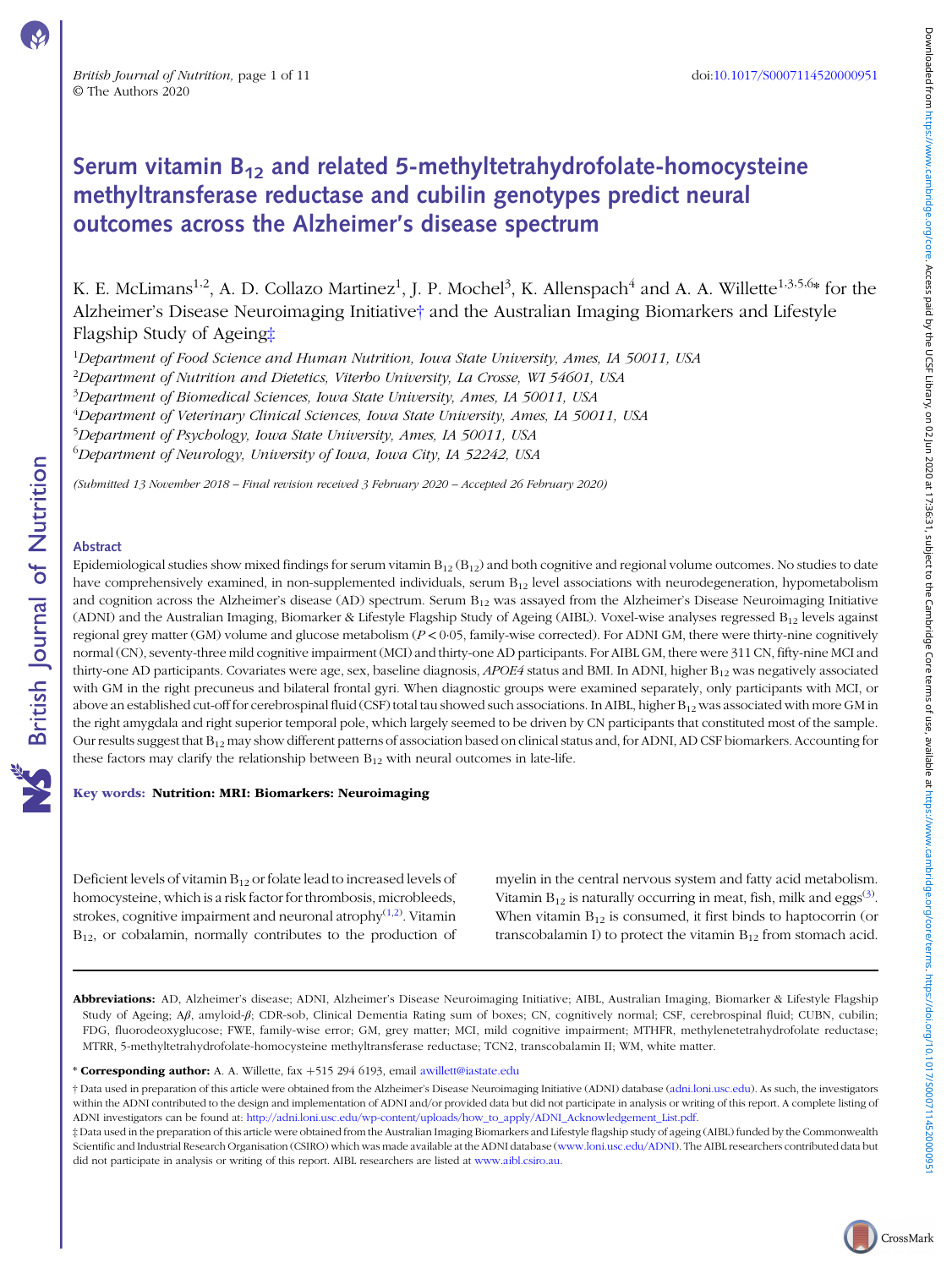# Downloaded from https://www.cambridge.org/core. Acess paid by the USE Library, on 02 Jun 2020 at 17:36:31, subject to the Cambridge Core terms of use, available at https://www.cambridge.org/core/terms./www.cambridge.org/te Downloaded from whambridge.org/core. Access pad by the UCSF Library, on Wild State (2012) the core ferms or eer await be a state of the subject of the subject of the substitutions core ferms of the substitution and the sub

CrossMark

# Serum vitamin  $B_{12}$  and related 5-methyltetrahydrofolate-homocysteine methyltransferase reductase and cubilin genotypes predict neural outcomes across the Alzheimer's disease spectrum

K. E. McLimans<sup>1,2</sup>, A. D. Collazo Martinez<sup>1</sup>, J. P. Mochel<sup>3</sup>, K. Allenspach<sup>4</sup> and A. A. Willette<sup>1,3,5,6</sup>\* for the Alzheimer's Disease Neuroimaging Initiative† and the Australian Imaging Biomarkers and Lifestyle Flagship Study of Ageing‡

 $^1$ Department of Food Science and Human Nutrition, Iowa State University, Ames, IA 50011, USA  $^{2}$ Department of Nutrition and Dietetics, Viterbo University, La Crosse, WI 54601, USA <sup>3</sup>Department of Biomedical Sciences, Iowa State University, Ames, IA 50011, USA 4 Department of Veterinary Clinical Sciences, Iowa State University, Ames, IA 50011, USA 5 Department of Psychology, Iowa State University, Ames, IA 50011, USA

<sup>6</sup>Department of Neurology, University of Iowa, Iowa City, IA 52242, USA

(Submitted 13 November 2018 – Final revision received 3 February 2020 – Accepted 26 February 2020)

# Abstract

**NS** British Journal of Nutrition

Epidemiological studies show mixed findings for serum vitamin  $B_{12} (B_{12})$  and both cognitive and regional volume outcomes. No studies to date have comprehensively examined, in non-supplemented individuals, serum  $B_{12}$  level associations with neurodegeneration, hypometabolism and cognition across the Alzheimer's disease (AD) spectrum. Serum  $B_{12}$  was assayed from the Alzheimer's Disease Neuroimaging Initiative (ADNI) and the Australian Imaging, Biomarker & Lifestyle Flagship Study of Ageing (AIBL). Voxel-wise analyses regressed  $B_{12}$  levels against regional grey matter (GM) volume and glucose metabolism  $(P < 0.05$ , family-wise corrected). For ADNI GM, there were thirty-nine cognitively normal (CN), seventy-three mild cognitive impairment (MCI) and thirty-one AD participants. For AIBL GM, there were 311 CN, fifty-nine MCI and thirty-one AD participants. Covariates were age, sex, baseline diagnosis,  $APOE4$  status and BMI. In ADNI, higher  $B_{12}$  was negatively associated with GM in the right precuneus and bilateral frontal gyri. When diagnostic groups were examined separately, only participants with MCI, or above an established cut-off for cerebrospinal fluid (CSF) total tau showed such associations. In AIBL, higher  $B_{12}$  was associated with more GM in the right amygdala and right superior temporal pole, which largely seemed to be driven by CN participants that constituted most of the sample. Our results suggest that  $B_{12}$  may show different patterns of association based on clinical status and, for ADNI, AD CSF biomarkers. Accounting for these factors may clarify the relationship between  $B_{12}$  with neural outcomes in late-life.

# Key words: Nutrition: MRI: Biomarkers: Neuroimaging

Deficient levels of vitamin  $B_{12}$  or folate lead to increased levels of homocysteine, which is a risk factor for thrombosis, microbleeds, strokes, cognitive impairment and neuronal atrophy $(1,2)$  $(1,2)$ . Vitamin B<sub>12</sub>, or cobalamin, normally contributes to the production of myelin in the central nervous system and fatty acid metabolism. Vitamin  $B_{12}$  is naturally occurring in meat, fish, milk and eggs<sup>([3](#page-8-0))</sup>. When vitamin  $B_{12}$  is consumed, it first binds to haptocorrin (or transcobalamin I) to protect the vitamin  $B_{12}$  from stomach acid.

Abbreviations: AD, Alzheimer's disease; ADNI, Alzheimer's Disease Neuroimaging Initiative; AIBL, Australian Imaging, Biomarker & Lifestyle Flagship Study of Ageing; Aβ, amyloid-β; CDR-sob, Clinical Dementia Rating sum of boxes; CN, cognitively normal; CSF, cerebrospinal fluid; CUBN, cubilin; FDG, fluorodeoxyglucose; FWE, family-wise error; GM, grey matter; MCI, mild cognitive impairment; MTHFR, methylenetetrahydrofolate reductase; MTRR, 5-methyltetrahydrofolate-homocysteine methyltransferase reductase; TCN2, transcobalamin II; WM, white matter.

\* Corresponding author: A. A. Willette, fax +515 294 6193, email [awillett@iastate.edu](mailto:awillett@iastate.edu)

† Data used in preparation of this article were obtained from the Alzheimer's Disease Neuroimaging Initiative (ADNI) database [\(adni.loni.usc.edu\)](http://adni.loni.usc.edu). As such, the investigators within the ADNI contributed to the design and implementation of ADNI and/or provided data but did not participate in analysis or writing of this report. A complete listing of ADNI investigators can be found at: [http://adni.loni.usc.edu/wp-content/uploads/how\\_to\\_apply/ADNI\\_Acknowledgement\\_List.pdf.](http://adni.loni.usc.edu/wp-content/uploads/how_to_apply/ADNI_Acknowledgement_List.pdf)

‡ Data used in the preparation of this article were obtained from the Australian Imaging Biomarkers and Lifestyle flagship study of ageing (AIBL) funded by the Commonwealth Scientific and Industrial Research Organisation (CSIRO) which was made available at the ADNI database [\(www.loni.usc.edu/ADNI](https://www.loni.usc.edu/ADNI)). The AIBL researchers contributed data but did not participate in analysis or writing of this report. AIBL researchers are listed at [www.aibl.csiro.au](http://www.aibl.csiro.au).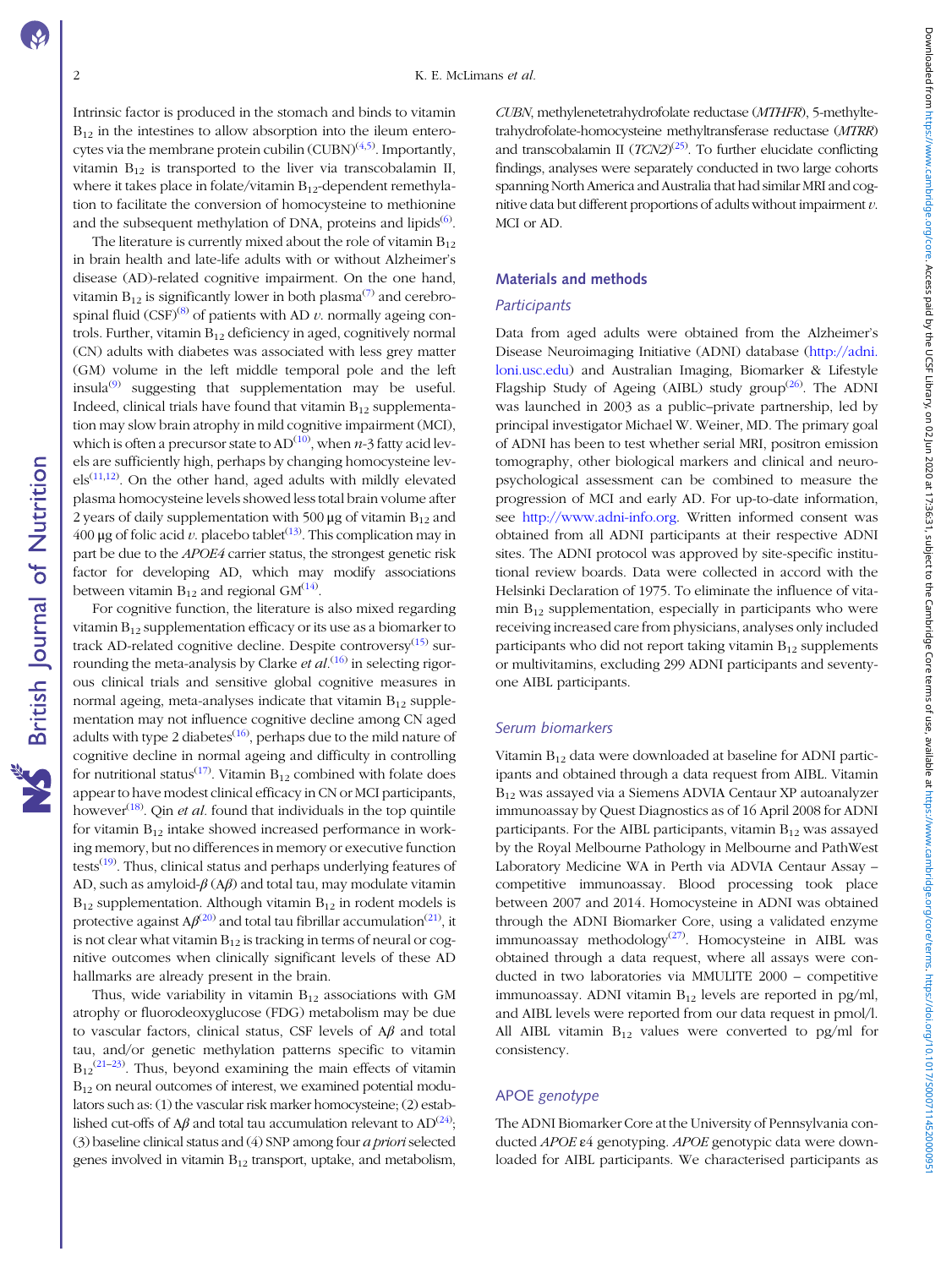**NS** British Journal of Nutrition

Intrinsic factor is produced in the stomach and binds to vitamin  $B_{12}$  in the intestines to allow absorption into the ileum entero-cytes via the membrane protein cubilin (CUBN)<sup>([4,5\)](#page-8-0)</sup>. Importantly, vitamin  $B_{12}$  is transported to the liver via transcobalamin II, where it takes place in folate/vitamin  $B_{12}$ -dependent remethylation to facilitate the conversion of homocysteine to methionine and the subsequent methylation of DNA, proteins and lipids<sup>([6\)](#page-8-0)</sup>.

The literature is currently mixed about the role of vitamin  $B_{12}$ in brain health and late-life adults with or without Alzheimer's disease (AD)-related cognitive impairment. On the one hand, vitamin  $B_{12}$  is significantly lower in both plasma<sup>[\(7](#page-8-0))</sup> and cerebrospinal fluid  $(CSF)^{(8)}$  $(CSF)^{(8)}$  $(CSF)^{(8)}$  of patients with AD v. normally ageing controls. Further, vitamin  $B_{12}$  deficiency in aged, cognitively normal (CN) adults with diabetes was associated with less grey matter (GM) volume in the left middle temporal pole and the left insula $^{(9)}$  $^{(9)}$  $^{(9)}$  suggesting that supplementation may be useful. Indeed, clinical trials have found that vitamin  $B_{12}$  supplementation may slow brain atrophy in mild cognitive impairment (MCI), which is often a precursor state to AD<sup>([10](#page-8-0))</sup>, when  $n$ -3 fatty acid levels are sufficiently high, perhaps by changing homocysteine lev- $els^{(11,12)}$  $els^{(11,12)}$  $els^{(11,12)}$ . On the other hand, aged adults with mildly elevated plasma homocysteine levels showed less total brain volume after 2 years of daily supplementation with 500  $\mu$ g of vitamin B<sub>12</sub> and 400 μg of folic acid *v*. placebo tablet<sup>([13\)](#page-8-0)</sup>. This complication may in part be due to the APOE4 carrier status, the strongest genetic risk factor for developing AD, which may modify associations between vitamin  $B_{12}$  and regional GM<sup>([14\)](#page-8-0)</sup>.

For cognitive function, the literature is also mixed regarding vitamin  $B_{12}$  supplementation efficacy or its use as a biomarker to track AD-related cognitive decline. Despite controversy $(15)$  $(15)$  surrounding the meta-analysis by Clarke et  $al$ .<sup>[\(16](#page-8-0))</sup> in selecting rigorous clinical trials and sensitive global cognitive measures in normal ageing, meta-analyses indicate that vitamin  $B_{12}$  supplementation may not influence cognitive decline among CN aged adults with type 2 diabetes $(16)$  $(16)$ , perhaps due to the mild nature of cognitive decline in normal ageing and difficulty in controlling for nutritional status<sup>([17\)](#page-8-0)</sup>. Vitamin  $B_{12}$  combined with folate does appear to have modest clinical efficacy in CN or MCI participants, however<sup>[\(18\)](#page-8-0)</sup>. Qin *et al*. found that individuals in the top quintile for vitamin  $B_{12}$  intake showed increased performance in working memory, but no differences in memory or executive function tests<sup>[\(19\)](#page-9-0)</sup>. Thus, clinical status and perhaps underlying features of AD, such as amyloid- $\beta$  (A $\beta$ ) and total tau, may modulate vitamin  $B_{12}$  supplementation. Although vitamin  $B_{12}$  in rodent models is protective against A $\beta^{(20)}$  $\beta^{(20)}$  $\beta^{(20)}$  and total tau fibrillar accumulation<sup>([21](#page-9-0))</sup>, it is not clear what vitamin  $B_{12}$  is tracking in terms of neural or cognitive outcomes when clinically significant levels of these AD hallmarks are already present in the brain.

Thus, wide variability in vitamin  $B_{12}$  associations with GM atrophy or fluorodeoxyglucose (FDG) metabolism may be due to vascular factors, clinical status, CSF levels of  $A\beta$  and total tau, and/or genetic methylation patterns specific to vitamin  $B_{12}^{(21-23)}$  $B_{12}^{(21-23)}$  $B_{12}^{(21-23)}$  $B_{12}^{(21-23)}$  $B_{12}^{(21-23)}$ . Thus, beyond examining the main effects of vitamin B12 on neural outcomes of interest, we examined potential modulators such as: (1) the vascular risk marker homocysteine; (2) established cut-offs of A $\beta$  and total tau accumulation relevant to AD<sup>[\(24\)](#page-9-0)</sup>; (3) baseline clinical status and (4) SNP among four a prioriselected genes involved in vitamin  $B_{12}$  transport, uptake, and metabolism, CUBN, methylenetetrahydrofolate reductase (MTHFR), 5-methyltetrahydrofolate-homocysteine methyltransferase reductase (MTRR) and transcobalamin II  $(TCN2)^{(25)}$  $(TCN2)^{(25)}$  $(TCN2)^{(25)}$ . To further elucidate conflicting findings, analyses were separately conducted in two large cohorts spanning North America and Australia that had similar MRI and cognitive data but different proportions of adults without impairment  $v$ . MCI or AD.

# Materials and methods

# **Participants**

Data from aged adults were obtained from the Alzheimer's Disease Neuroimaging Initiative (ADNI) database [\(http://adni.](http://adni.loni.usc.edu) [loni.usc.edu](http://adni.loni.usc.edu)) and Australian Imaging, Biomarker & Lifestyle Flagship Study of Ageing (AIBL) study group<sup>([26](#page-9-0))</sup>. The ADNI was launched in 2003 as a public–private partnership, led by principal investigator Michael W. Weiner, MD. The primary goal of ADNI has been to test whether serial MRI, positron emission tomography, other biological markers and clinical and neuropsychological assessment can be combined to measure the progression of MCI and early AD. For up-to-date information, see <http://www.adni-info.org>. Written informed consent was obtained from all ADNI participants at their respective ADNI sites. The ADNI protocol was approved by site-specific institutional review boards. Data were collected in accord with the Helsinki Declaration of 1975. To eliminate the influence of vitamin B12 supplementation, especially in participants who were receiving increased care from physicians, analyses only included participants who did not report taking vitamin  $B_{12}$  supplements or multivitamins, excluding 299 ADNI participants and seventyone AIBL participants.

# Serum biomarkers

Vitamin  $B_{12}$  data were downloaded at baseline for ADNI participants and obtained through a data request from AIBL. Vitamin B12 was assayed via a Siemens ADVIA Centaur XP autoanalyzer immunoassay by Quest Diagnostics as of 16 April 2008 for ADNI participants. For the AIBL participants, vitamin  $B_{12}$  was assayed by the Royal Melbourne Pathology in Melbourne and PathWest Laboratory Medicine WA in Perth via ADVIA Centaur Assay – competitive immunoassay. Blood processing took place between 2007 and 2014. Homocysteine in ADNI was obtained through the ADNI Biomarker Core, using a validated enzyme immunoassay methodology<sup>[\(27\)](#page-9-0)</sup>. Homocysteine in AIBL was obtained through a data request, where all assays were conducted in two laboratories via MMULITE 2000 – competitive immunoassay. ADNI vitamin  $B_{12}$  levels are reported in pg/ml, and AIBL levels were reported from our data request in pmol/l. All AIBL vitamin  $B_{12}$  values were converted to pg/ml for consistency.

# APOE genotype

The ADNI Biomarker Core at the University of Pennsylvania conducted APOE ε4 genotyping. APOE genotypic data were downloaded for AIBL participants. We characterised participants as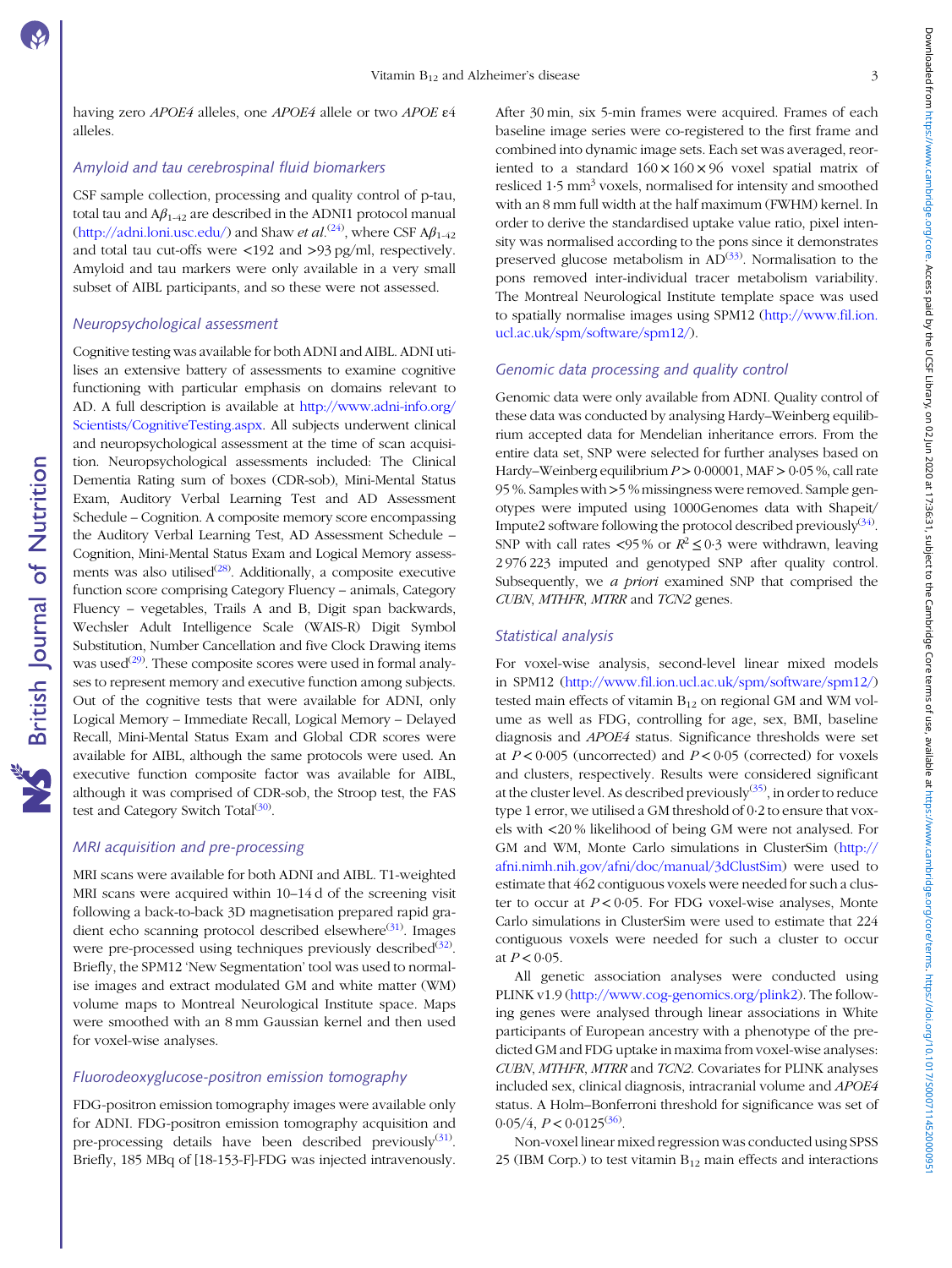having zero APOE4 alleles, one APOE4 allele or two APOE ε4 alleles.

# Amyloid and tau cerebrospinal fluid biomarkers

CSF sample collection, processing and quality control of p-tau, total tau and  $A\beta_{1-42}$  are described in the ADNI1 protocol manual ([http://adni.loni.usc.edu/\)](http://adni.loni.usc.edu/) and Shaw *et al*.<sup>([24](#page-9-0))</sup>, where CSF  $A\beta_{1.42}$ and total tau cut-offs were <192 and >93 pg/ml, respectively. Amyloid and tau markers were only available in a very small subset of AIBL participants, and so these were not assessed.

# Neuropsychological assessment

Cognitive testing was available for both ADNI and AIBL. ADNI utilises an extensive battery of assessments to examine cognitive functioning with particular emphasis on domains relevant to AD. A full description is available at [http://www.adni-info.org/](http://www.adni-info.org/Scientists/CognitiveTesting.aspx) [Scientists/CognitiveTesting.aspx](http://www.adni-info.org/Scientists/CognitiveTesting.aspx). All subjects underwent clinical and neuropsychological assessment at the time of scan acquisition. Neuropsychological assessments included: The Clinical Dementia Rating sum of boxes (CDR-sob), Mini-Mental Status Exam, Auditory Verbal Learning Test and AD Assessment Schedule – Cognition. A composite memory score encompassing the Auditory Verbal Learning Test, AD Assessment Schedule – Cognition, Mini-Mental Status Exam and Logical Memory assessments was also utilised $(28)$  $(28)$ . Additionally, a composite executive function score comprising Category Fluency – animals, Category Fluency – vegetables, Trails A and B, Digit span backwards, Wechsler Adult Intelligence Scale (WAIS-R) Digit Symbol Substitution, Number Cancellation and five Clock Drawing items was used<sup>[\(29\)](#page-9-0)</sup>. These composite scores were used in formal analyses to represent memory and executive function among subjects. Out of the cognitive tests that were available for ADNI, only Logical Memory – Immediate Recall, Logical Memory – Delayed Recall, Mini-Mental Status Exam and Global CDR scores were available for AIBL, although the same protocols were used. An executive function composite factor was available for AIBL, although it was comprised of CDR-sob, the Stroop test, the FAS test and Category Switch Total<sup>[\(30\)](#page-9-0)</sup>.

# MRI acquisition and pre-processing

MRI scans were available for both ADNI and AIBL. T1-weighted MRI scans were acquired within 10–14 d of the screening visit following a back-to-back 3D magnetisation prepared rapid gra-dient echo scanning protocol described elsewhere<sup>([31](#page-9-0))</sup>. Images were pre-processed using techniques previously described<sup>([32\)](#page-9-0)</sup>. Briefly, the SPM12 'New Segmentation' tool was used to normalise images and extract modulated GM and white matter (WM) volume maps to Montreal Neurological Institute space. Maps were smoothed with an 8 mm Gaussian kernel and then used for voxel-wise analyses.

# Fluorodeoxyglucose-positron emission tomography

FDG-positron emission tomography images were available only for ADNI. FDG-positron emission tomography acquisition and pre-processing details have been described previously<sup>([31\)](#page-9-0)</sup>. Briefly, 185 MBq of [18-153-F]-FDG was injected intravenously. After 30 min, six 5-min frames were acquired. Frames of each baseline image series were co-registered to the first frame and combined into dynamic image sets. Each set was averaged, reoriented to a standard  $160 \times 160 \times 96$  voxel spatial matrix of resliced 1.5 mm<sup>3</sup> voxels, normalised for intensity and smoothed with an 8 mm full width at the half maximum (FWHM) kernel. In order to derive the standardised uptake value ratio, pixel intensity was normalised according to the pons since it demonstrates preserved glucose metabolism in AD<sup>[\(33\)](#page-9-0)</sup>. Normalisation to the pons removed inter-individual tracer metabolism variability. The Montreal Neurological Institute template space was used to spatially normalise images using SPM12 [\(http://www.fil.ion.](http://www.fil.ion.ucl.ac.uk/spm/software/spm12/) [ucl.ac.uk/spm/software/spm12/\)](http://www.fil.ion.ucl.ac.uk/spm/software/spm12/).

# Genomic data processing and quality control

Genomic data were only available from ADNI. Quality control of these data was conducted by analysing Hardy–Weinberg equilibrium accepted data for Mendelian inheritance errors. From the entire data set, SNP were selected for further analyses based on Hardy–Weinberg equilibrium  $P > 0.00001$ , MAF  $> 0.05$ %, call rate 95 %. Samples with>5 % missingness were removed. Sample genotypes were imputed using 1000Genomes data with Shapeit/ Impute2 software following the protocol described previously<sup>[\(34](#page-9-0))</sup>. SNP with call rates <95% or  $R^2 \le 0.3$  were withdrawn, leaving 2 976 223 imputed and genotyped SNP after quality control. Subsequently, we a priori examined SNP that comprised the CUBN, MTHFR, MTRR and TCN2 genes.

# Statistical analysis

For voxel-wise analysis, second-level linear mixed models in SPM12 (<http://www.fil.ion.ucl.ac.uk/spm/software/spm12/>) tested main effects of vitamin  $B_{12}$  on regional GM and WM volume as well as FDG, controlling for age, sex, BMI, baseline diagnosis and APOE4 status. Significance thresholds were set at  $P < 0.005$  (uncorrected) and  $P < 0.05$  (corrected) for voxels and clusters, respectively. Results were considered significant at the cluster level. As described previously<sup>[\(35\)](#page-9-0)</sup>, in order to reduce type 1 error, we utilised a GM threshold of 0·2 to ensure that voxels with <20 % likelihood of being GM were not analysed. For GM and WM, Monte Carlo simulations in ClusterSim [\(http://](http://afni.nimh.nih.gov/afni/doc/manual/3dClustSim) [afni.nimh.nih.gov/afni/doc/manual/3dClustSim](http://afni.nimh.nih.gov/afni/doc/manual/3dClustSim)) were used to estimate that 462 contiguous voxels were needed for such a cluster to occur at  $P < 0.05$ . For FDG voxel-wise analyses, Monte Carlo simulations in ClusterSim were used to estimate that 224 contiguous voxels were needed for such a cluster to occur at  $P < 0.05$ .

All genetic association analyses were conducted using PLINK v1.9 (<http://www.cog-genomics.org/plink2>). The following genes were analysed through linear associations in White participants of European ancestry with a phenotype of the predicted GM and FDG uptake in maxima from voxel-wise analyses: CUBN, MTHFR, MTRR and TCN2. Covariates for PLINK analyses included sex, clinical diagnosis, intracranial volume and APOE4 status. A Holm–Bonferroni threshold for significance was set of  $0.05/4$ ,  $P < 0.0125^{(36)}$  $P < 0.0125^{(36)}$  $P < 0.0125^{(36)}$ .

Non-voxel linear mixed regression was conducted using SPSS 25 (IBM Corp.) to test vitamin  $B_{12}$  main effects and interactions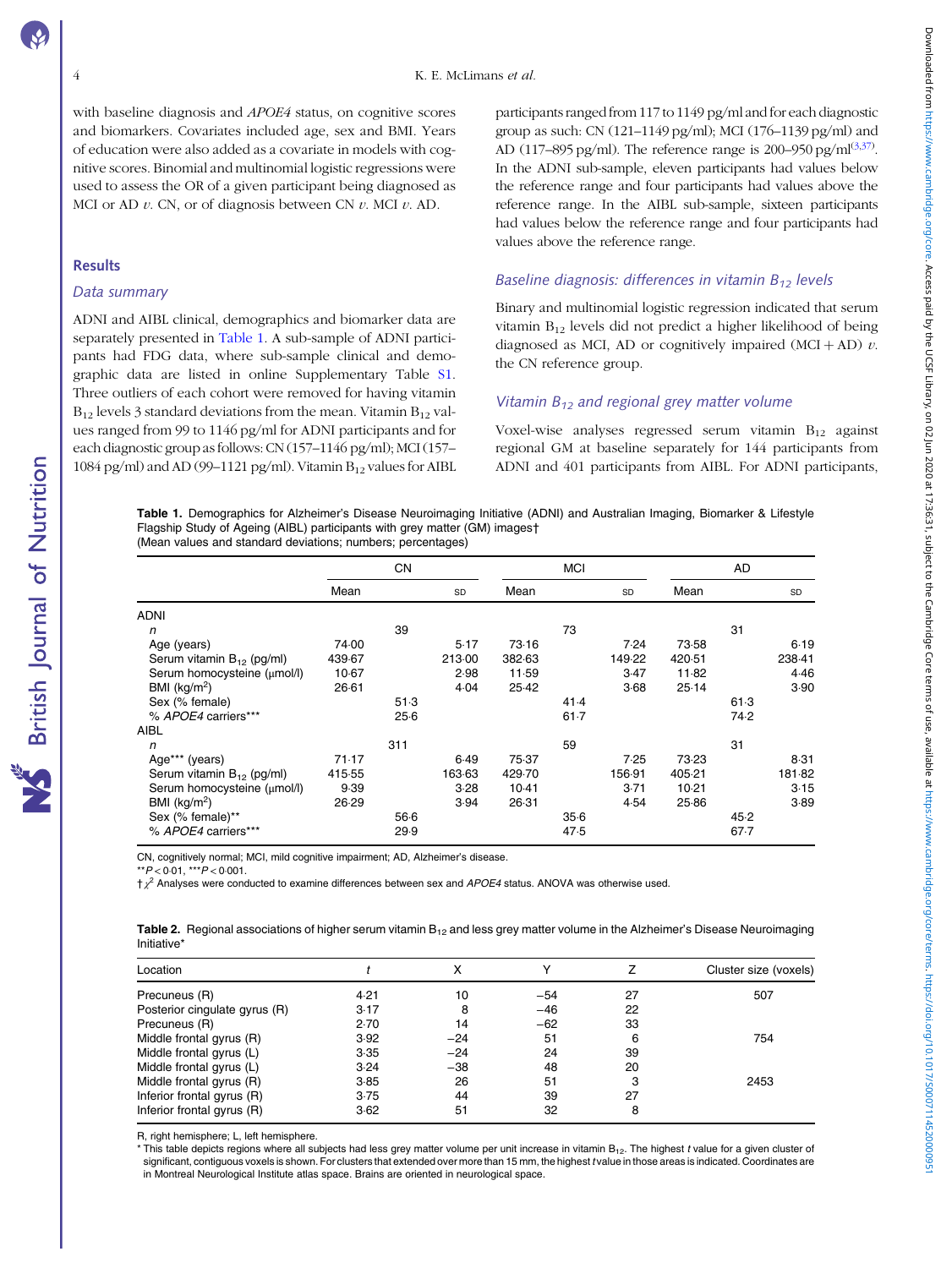Downloaded from https://www.cambridge.org/core. Acess paid by the USE Library, on 02 Jun 2020 at 17:36:31, subject to the Cambridge Core terms of use, available at https://www.cambridge.org/core/terms. https://doi/107/5000 Downloaded from whambridge.org/core. Access pad by the UCSF Library, on Wild State (2012) the core ferms or eer await be a state of the subject of the subject of the substitutions core ferms of the substitution and the sub

<span id="page-3-0"></span>with baseline diagnosis and APOE4 status, on cognitive scores and biomarkers. Covariates included age, sex and BMI. Years of education were also added as a covariate in models with cognitive scores. Binomial and multinomial logistic regressions were used to assess the OR of a given participant being diagnosed as MCI or AD  $v$ . CN, or of diagnosis between CN  $v$ . MCI  $v$ . AD.

#### **Results**

#### Data summary

ADNI and AIBL clinical, demographics and biomarker data are separately presented in Table 1. A sub-sample of ADNI participants had FDG data, where sub-sample clinical and demographic data are listed in online Supplementary Table [S1](https://doi.org/10.1017/S0007114520000951). Three outliers of each cohort were removed for having vitamin  $B_{12}$  levels 3 standard deviations from the mean. Vitamin  $B_{12}$  values ranged from 99 to 1146 pg/ml for ADNI participants and for each diagnostic group as follows: CN (157–1146 pg/ml); MCI (157– 1084 pg/ml) and AD (99-1121 pg/ml). Vitamin  $B_{12}$  values for AIBL participants ranged from 117 to 1149 pg/ml and for each diagnostic group as such: CN  $(121-1149 \text{ pc/ml})$ : MCI  $(176-1139 \text{ pc/ml})$  and AD (117–895 pg/ml). The reference range is 200–950 pg/ml<sup>([3,](#page-8-0)[37](#page-9-0))</sup>. In the ADNI sub-sample, eleven participants had values below the reference range and four participants had values above the reference range. In the AIBL sub-sample, sixteen participants had values below the reference range and four participants had values above the reference range.

# Baseline diagnosis: differences in vitamin  $B_{12}$  levels

Binary and multinomial logistic regression indicated that serum vitamin  $B_{12}$  levels did not predict a higher likelihood of being diagnosed as MCI, AD or cognitively impaired  $(MCI + AD)$  v. the CN reference group.

# Vitamin  $B_{12}$  and regional grey matter volume

Voxel-wise analyses regressed serum vitamin  $B_{12}$  against regional GM at baseline separately for 144 participants from ADNI and 401 participants from AIBL. For ADNI participants,

Table 1. Demographics for Alzheimer's Disease Neuroimaging Initiative (ADNI) and Australian Imaging, Biomarker & Lifestyle Flagship Study of Ageing (AIBL) participants with grey matter (GM) images† (Mean values and standard deviations; numbers; percentages)

|                                       | <b>CN</b> |      |        | <b>MCI</b> |          |        | AD      |          |        |
|---------------------------------------|-----------|------|--------|------------|----------|--------|---------|----------|--------|
|                                       | Mean      |      | SD     | Mean       |          | SD     | Mean    |          | SD     |
| <b>ADNI</b>                           |           |      |        |            |          |        |         |          |        |
| n                                     |           | 39   |        |            | 73       |        |         | 31       |        |
| Age (years)                           | 74.00     |      | 5.17   | 73.16      |          | 7.24   | 73.58   |          | 6.19   |
| Serum vitamin B <sub>12</sub> (pg/ml) | 439.67    |      | 213.00 | 382.63     |          | 149.22 | 420.51  |          | 238-41 |
| Serum homocysteine (umol/l)           | 10.67     |      | 2.98   | 11.59      |          | 3.47   | 11.82   |          | 4.46   |
| BMI $(kg/m2)$                         | 26.61     |      | 4.04   | 25.42      |          | 3.68   | 25.14   |          | 3.90   |
| Sex (% female)                        |           | 51.3 |        |            | 41.4     |        |         | 61.3     |        |
| % APOE4 carriers***                   |           | 25.6 |        |            | $61 - 7$ |        |         | 74.2     |        |
| AIBL                                  |           |      |        |            |          |        |         |          |        |
| n                                     |           | 311  |        |            | 59       |        |         | 31       |        |
| Age*** (years)                        | 71.17     |      | 6.49   | 75.37      |          | 7.25   | 73.23   |          | 8.31   |
| Serum vitamin B <sub>12</sub> (pg/ml) | 415.55    |      | 163.63 | 429.70     |          | 156-91 | 405.21  |          | 181-82 |
| Serum homocysteine (µmol/l)           | 9.39      |      | 3.28   | $10-41$    |          | 3.71   | $10-21$ |          | 3.15   |
| BMI $(kg/m2)$                         | 26.29     |      | 3.94   | 26.31      |          | 4.54   | 25.86   |          | 3.89   |
| Sex (% female)**                      |           | 566  |        |            | 35.6     |        |         | 45.2     |        |
| % APOE4 carriers***                   |           | 29.9 |        |            | 47.5     |        |         | $67 - 7$ |        |

CN, cognitively normal; MCI, mild cognitive impairment; AD, Alzheimer's disease.

 $*$  $*$  $P$  < 0.01,  $*$  $*$  $*$  $P$  < 0.001.

 $\dagger \chi^2$  Analyses were conducted to examine differences between sex and APOE4 status. ANOVA was otherwise used.

|             | Table 2. Regional associations of higher serum vitamin B <sub>12</sub> and less grey matter volume in the Alzheimer's Disease Neuroimaging |  |  |
|-------------|--------------------------------------------------------------------------------------------------------------------------------------------|--|--|
| Initiative* |                                                                                                                                            |  |  |

| Location                      |      |       |       |    | Cluster size (voxels) |
|-------------------------------|------|-------|-------|----|-----------------------|
| Precuneus (R)                 | 4.21 | 10    | $-54$ | 27 | 507                   |
| Posterior cingulate gyrus (R) | 3.17 | 8     | $-46$ | 22 |                       |
| Precuneus (R)                 | 2.70 | 14    | $-62$ | 33 |                       |
| Middle frontal gyrus (R)      | 3.92 | $-24$ | 51    | 6  | 754                   |
| Middle frontal gyrus (L)      | 3.35 | $-24$ | 24    | 39 |                       |
| Middle frontal gyrus (L)      | 3.24 | $-38$ | 48    | 20 |                       |
| Middle frontal gyrus (R)      | 3.85 | 26    | 51    | 3  | 2453                  |
| Inferior frontal gyrus (R)    | 3.75 | 44    | 39    | 27 |                       |
| Inferior frontal gyrus (R)    | 3.62 | 51    | 32    | 8  |                       |

R, right hemisphere; L, left hemisphere.

\* This table depicts regions where all subjects had less grey matter volume per unit increase in vitamin B<sub>12</sub>. The highest t value for a given cluster of significant, contiguous voxels is shown. For clusters that extended over more than 15 mm, the highest t value in those areas is indicated. Coordinates are in Montreal Neurological Institute atlas space. Brains are oriented in neurological space.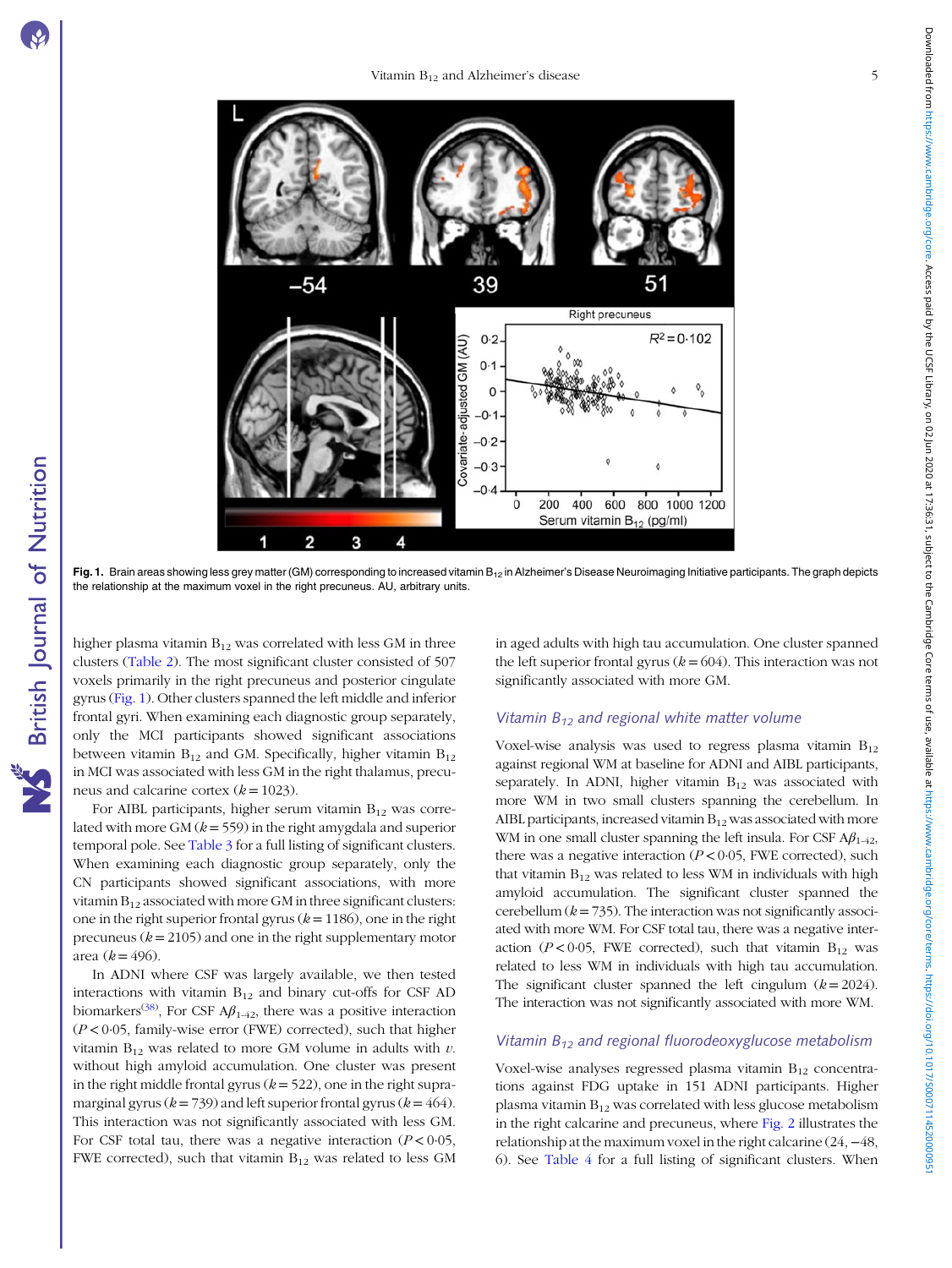**NS** British Journal of Nutrition



Fig. 1. Brain areas showing less grey matter (GM) corresponding to increased vitamin  $B_{12}$  in Alzheimer's Disease Neuroimaging Initiative participants. The graph depicts the relationship at the maximum voxel in the right precuneus. AU, arbitrary units.

Z

E

higher plasma vitamin  $B_{12}$  was correlated with less GM in three clusters [\(Table 2](#page-3-0)). The most significant cluster consisted of 507 voxels primarily in the right precuneus and posterior cingulate gyrus (Fig. 1). Other clusters spanned the left middle and inferior frontal gyri. When examining each diagnostic group separately, only the MCI participants showed significant associations between vitamin  $B_{12}$  and GM. Specifically, higher vitamin  $B_{12}$ in MCI was associated with less GM in the right thalamus, precuneus and calcarine cortex  $(k = 1023)$ .

9

For AIBL participants, higher serum vitamin  $B_{12}$  was correlated with more GM ( $k = 559$ ) in the right amygdala and superior temporal pole. See [Table 3](#page-5-0) for a full listing of significant clusters. When examining each diagnostic group separately, only the CN participants showed significant associations, with more vitamin  $B_{12}$  associated with more GM in three significant clusters: one in the right superior frontal gyrus  $(k = 1186)$ , one in the right precuneus ( $k = 2105$ ) and one in the right supplementary motor area  $(k = 496)$ .

In ADNI where CSF was largely available, we then tested interactions with vitamin  $B_{12}$  and binary cut-offs for CSF AD biomarkers<sup>([38\)](#page-9-0)</sup>, For CSF A $\beta_{1\text{-}42}$ , there was a positive interaction  $(P < 0.05$ , family-wise error (FWE) corrected), such that higher vitamin  $B_{12}$  was related to more GM volume in adults with  $v$ . without high amyloid accumulation. One cluster was present in the right middle frontal gyrus  $(k = 522)$ , one in the right supramarginal gyrus ( $k = 739$ ) and left superior frontal gyrus ( $k = 464$ ). This interaction was not significantly associated with less GM. For CSF total tau, there was a negative interaction ( $P < 0.05$ , FWE corrected), such that vitamin  $B_{12}$  was related to less GM in aged adults with high tau accumulation. One cluster spanned the left superior frontal gyrus ( $k = 604$ ). This interaction was not significantly associated with more GM.

# Vitamin  $B_{12}$  and regional white matter volume

Voxel-wise analysis was used to regress plasma vitamin  $B_{12}$ against regional WM at baseline for ADNI and AIBL participants, separately. In ADNI, higher vitamin  $B_{12}$  was associated with more WM in two small clusters spanning the cerebellum. In AIBL participants, increased vitamin  $B_{12}$  was associated with more WM in one small cluster spanning the left insula. For CSF  $A\beta_{1-42}$ , there was a negative interaction  $(P < 0.05$ , FWE corrected), such that vitamin  $B_{12}$  was related to less WM in individuals with high amyloid accumulation. The significant cluster spanned the cerebellum ( $k = 735$ ). The interaction was not significantly associated with more WM. For CSF total tau, there was a negative interaction ( $P < 0.05$ , FWE corrected), such that vitamin  $B_{12}$  was related to less WM in individuals with high tau accumulation. The significant cluster spanned the left cingulum  $(k = 2024)$ . The interaction was not significantly associated with more WM.

# Vitamin  $B_{12}$  and regional fluorodeoxyglucose metabolism

Voxel-wise analyses regressed plasma vitamin B<sub>12</sub> concentrations against FDG uptake in 151 ADNI participants. Higher plasma vitamin  $B_{12}$  was correlated with less glucose metabolism in the right calcarine and precuneus, where [Fig. 2](#page-5-0) illustrates the relationship at the maximum voxel in the right calcarine (24, −48, 6). See [Table 4](#page-5-0) for a full listing of significant clusters. When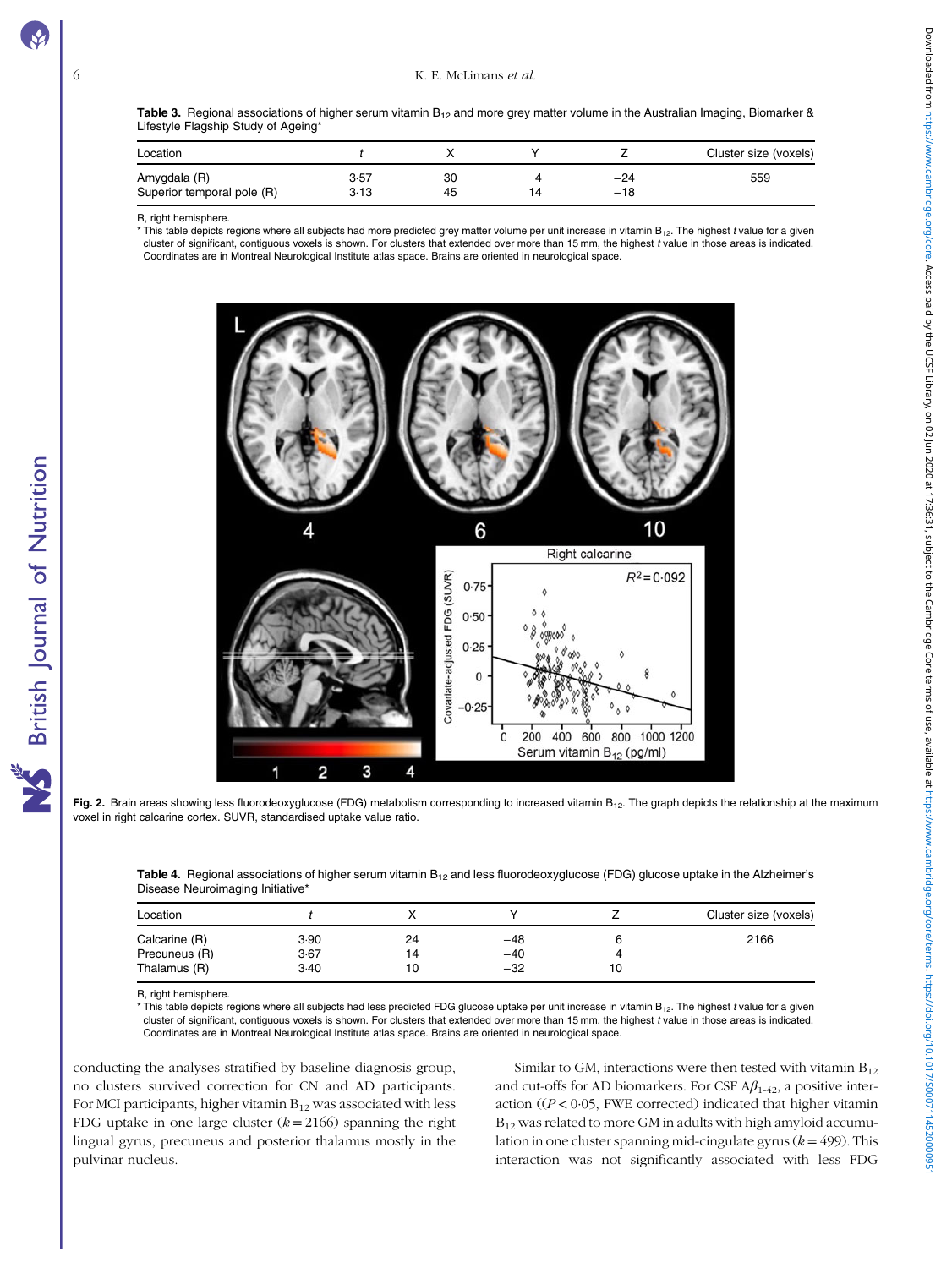<span id="page-5-0"></span>Table 3. Regional associations of higher serum vitamin  $B_{12}$  and more grey matter volume in the Australian Imaging, Biomarker & Lifestyle Flagship Study of Ageing\*

| Location                                   |              |          |                | Cluster size (voxels) |
|--------------------------------------------|--------------|----------|----------------|-----------------------|
| Amygdala (R)<br>Superior temporal pole (R) | 3.57<br>3.13 | 30<br>45 | $-24$<br>$-18$ | 559                   |

R, right hemisphere.

 $*$  This table depicts regions where all subjects had more predicted grey matter volume per unit increase in vitamin B<sub>12</sub>. The highest t value for a given cluster of significant, contiguous voxels is shown. For clusters that extended over more than 15 mm, the highest t value in those areas is indicated. Coordinates are in Montreal Neurological Institute atlas space. Brains are oriented in neurological space.



Fig. 2. Brain areas showing less fluorodeoxyglucose (FDG) metabolism corresponding to increased vitamin B<sub>12</sub>. The graph depicts the relationship at the maximum voxel in right calcarine cortex. SUVR, standardised uptake value ratio.

Table 4. Regional associations of higher serum vitamin  $B_{12}$  and less fluorodeoxyglucose (FDG) glucose uptake in the Alzheimer's Disease Neuroimaging Initiative'

| Location      |      |    |       | Cluster size (voxels) |
|---------------|------|----|-------|-----------------------|
| Calcarine (R) | 3.90 | 24 | $-48$ | 2166                  |
| Precuneus (R) | 3.67 | 14 | $-40$ |                       |
| Thalamus (R)  | 3.40 | 10 | $-32$ |                       |

R, right hemisphere.

This table depicts regions where all subjects had less predicted FDG glucose uptake per unit increase in vitamin B<sub>12</sub>. The highest t value for a given cluster of significant, contiguous voxels is shown. For clusters that extended over more than 15 mm, the highest t value in those areas is indicated. Coordinates are in Montreal Neurological Institute atlas space. Brains are oriented in neurological space.

conducting the analyses stratified by baseline diagnosis group, no clusters survived correction for CN and AD participants. For MCI participants, higher vitamin  $B_{12}$  was associated with less FDG uptake in one large cluster  $(k = 2166)$  spanning the right lingual gyrus, precuneus and posterior thalamus mostly in the pulvinar nucleus.

Similar to GM, interactions were then tested with vitamin  $B_{12}$ and cut-offs for AD biomarkers. For CSF  $A\beta_{1-42}$ , a positive interaction ( $(P < 0.05$ , FWE corrected) indicated that higher vitamin  $B_{12}$  was related to more GM in adults with high amyloid accumulation in one cluster spanning mid-cingulate gyrus  $(k = 499)$ . This interaction was not significantly associated with less FDG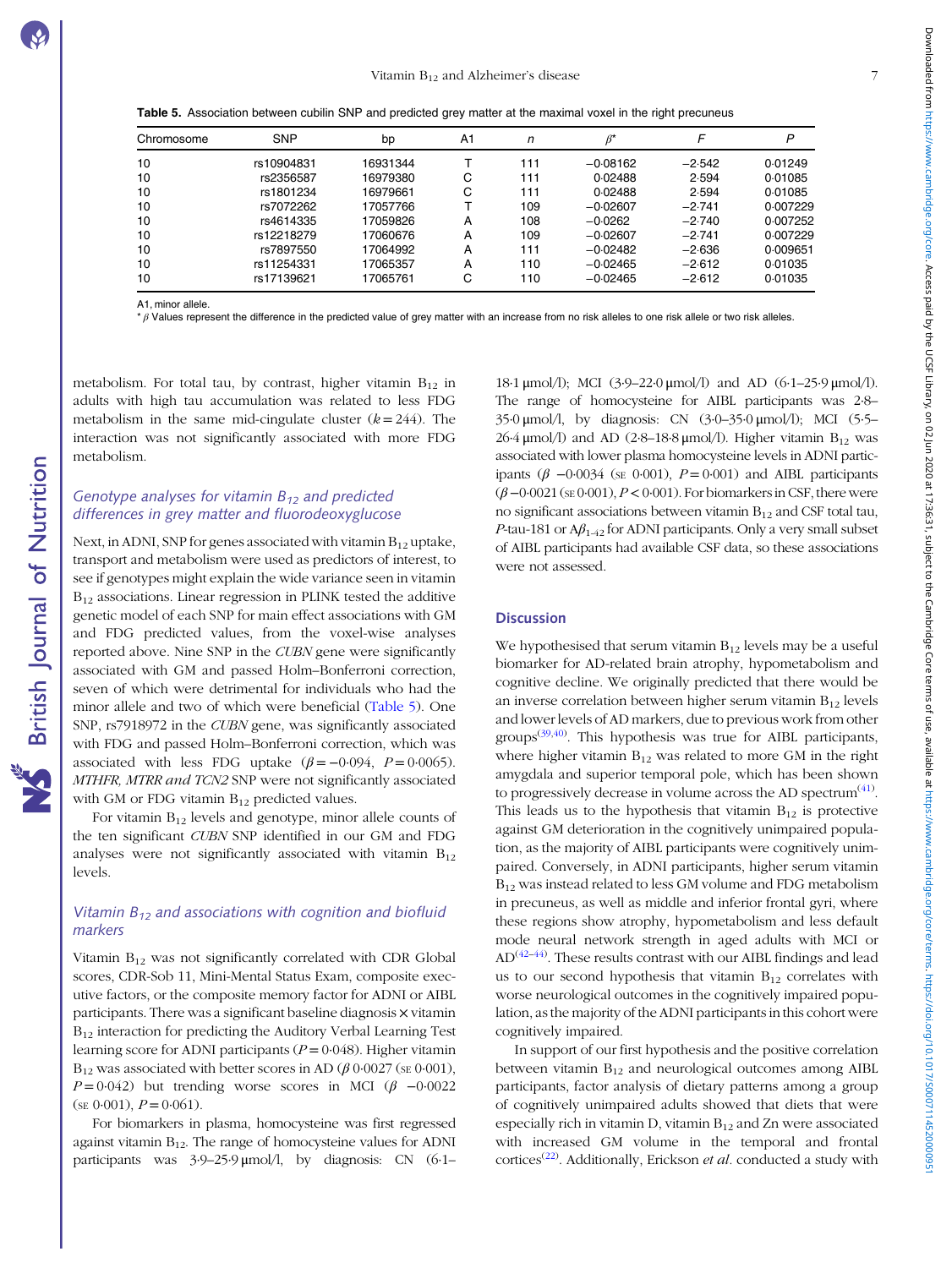Table 5. Association between cubilin SNP and predicted grey matter at the maximal voxel in the right precuneus

| Chromosome | <b>SNP</b> | bp       | A <sub>1</sub> | n   | $\beta^*$  |          | P        |
|------------|------------|----------|----------------|-----|------------|----------|----------|
| 10         | rs10904831 | 16931344 |                | 111 | $-0.08162$ | $-2.542$ | 0.01249  |
| 10         | rs2356587  | 16979380 | С              | 111 | 0.02488    | 2.594    | 0.01085  |
| 10         | rs1801234  | 16979661 | С              | 111 | 0.02488    | 2.594    | 0.01085  |
| 10         | rs7072262  | 17057766 |                | 109 | $-0.02607$ | $-2.741$ | 0.007229 |
| 10         | rs4614335  | 17059826 | А              | 108 | $-0.0262$  | $-2.740$ | 0.007252 |
| 10         | rs12218279 | 17060676 | А              | 109 | $-0.02607$ | $-2.741$ | 0.007229 |
| 10         | rs7897550  | 17064992 | Α              | 111 | $-0.02482$ | $-2.636$ | 0.009651 |
| 10         | rs11254331 | 17065357 | A              | 110 | $-0.02465$ | $-2.612$ | 0.01035  |
| 10         | rs17139621 | 17065761 | С              | 110 | $-0.02465$ | $-2.612$ | 0.01035  |

A1, minor allele.

\*  $\beta$  Values represent the difference in the predicted value of grey matter with an increase from no risk alleles to one risk allele or two risk alleles

metabolism. For total tau, by contrast, higher vitamin  $B_{12}$  in adults with high tau accumulation was related to less FDG metabolism in the same mid-cingulate cluster  $(k = 244)$ . The interaction was not significantly associated with more FDG metabolism.

# Genotype analyses for vitamin  $B_{12}$  and predicted differences in grey matter and fluorodeoxyglucose

Next, in ADNI, SNP for genes associated with vitamin  $B_{12}$  uptake, transport and metabolism were used as predictors of interest, to see if genotypes might explain the wide variance seen in vitamin  $B_{12}$  associations. Linear regression in PLINK tested the additive genetic model of each SNP for main effect associations with GM and FDG predicted values, from the voxel-wise analyses reported above. Nine SNP in the CUBN gene were significantly associated with GM and passed Holm–Bonferroni correction, seven of which were detrimental for individuals who had the minor allele and two of which were beneficial (Table 5). One SNP, rs7918972 in the CUBN gene, was significantly associated with FDG and passed Holm–Bonferroni correction, which was associated with less FDG uptake  $(\beta = -0.094, P = 0.0065)$ . MTHFR, MTRR and TCN2 SNP were not significantly associated with GM or FDG vitamin  $B_{12}$  predicted values.

For vitamin  $B_{12}$  levels and genotype, minor allele counts of the ten significant CUBN SNP identified in our GM and FDG analyses were not significantly associated with vitamin  $B_{12}$ levels.

# Vitamin  $B_{12}$  and associations with cognition and biofluid markers

Vitamin  $B_{12}$  was not significantly correlated with CDR Global scores, CDR-Sob 11, Mini-Mental Status Exam, composite executive factors, or the composite memory factor for ADNI or AIBL participants. There was a significant baseline diagnosis × vitamin B<sub>12</sub> interaction for predicting the Auditory Verbal Learning Test learning score for ADNI participants ( $P = 0.048$ ). Higher vitamin  $B_{12}$  was associated with better scores in AD ( $\beta$  0·0027 (se 0·001),  $P = 0.042$ ) but trending worse scores in MCI ( $\beta$  -0.0022  $(SE 0.001), P = 0.061).$ 

For biomarkers in plasma, homocysteine was first regressed against vitamin  $B_{12}$ . The range of homocysteine values for ADNI participants was 3·9–25·9 μmol/l, by diagnosis: CN (6·1– 18·1 μmol/l); MCI (3·9–22·0 μmol/l) and AD (6·1–25·9 μmol/l). The range of homocysteine for AIBL participants was 2·8– 35·0 μmol/l, by diagnosis: CN (3·0–35·0 μmol/l); MCI (5·5– 26·4 μmol/l) and AD (2·8-18·8 μmol/l). Higher vitamin  $B_{12}$  was associated with lower plasma homocysteine levels in ADNI participants ( $\beta$  -0·0034 (se 0·001),  $P = 0.001$ ) and AIBL participants  $(\beta - 0.0021$  (se  $0.001$ ),  $P < 0.001$ ). For biomarkers in CSF, there were no significant associations between vitamin  $B_{12}$  and CSF total tau, P-tau-181 or  $A\beta_{1-42}$  for ADNI participants. Only a very small subset of AIBL participants had available CSF data, so these associations were not assessed.

# **Discussion**

We hypothesised that serum vitamin  $B_{12}$  levels may be a useful biomarker for AD-related brain atrophy, hypometabolism and cognitive decline. We originally predicted that there would be an inverse correlation between higher serum vitamin  $B_{12}$  levels and lower levels of AD markers, due to previous work from other groups<sup>([39,40\)](#page-9-0)</sup>. This hypothesis was true for AIBL participants, where higher vitamin  $B_{12}$  was related to more GM in the right amygdala and superior temporal pole, which has been shown to progressively decrease in volume across the AD spectrum $^{(41)}$  $^{(41)}$  $^{(41)}$ . This leads us to the hypothesis that vitamin  $B_{12}$  is protective against GM deterioration in the cognitively unimpaired population, as the majority of AIBL participants were cognitively unimpaired. Conversely, in ADNI participants, higher serum vitamin B12 was instead related to less GM volume and FDG metabolism in precuneus, as well as middle and inferior frontal gyri, where these regions show atrophy, hypometabolism and less default mode neural network strength in aged adults with MCI or  $\mathrm{AD}^{(42-44)}$  $\mathrm{AD}^{(42-44)}$  $\mathrm{AD}^{(42-44)}$  $\mathrm{AD}^{(42-44)}$  $\mathrm{AD}^{(42-44)}$ . These results contrast with our AIBL findings and lead us to our second hypothesis that vitamin  $B_{12}$  correlates with worse neurological outcomes in the cognitively impaired population, as the majority of the ADNI participants in this cohort were cognitively impaired.

In support of our first hypothesis and the positive correlation between vitamin  $B_{12}$  and neurological outcomes among AIBL participants, factor analysis of dietary patterns among a group of cognitively unimpaired adults showed that diets that were especially rich in vitamin D, vitamin  $B_{12}$  and Zn were associated with increased GM volume in the temporal and frontal cortices<sup>[\(22](#page-9-0))</sup>. Additionally, Erickson et al. conducted a study with

**NS** British Journal of Nutrition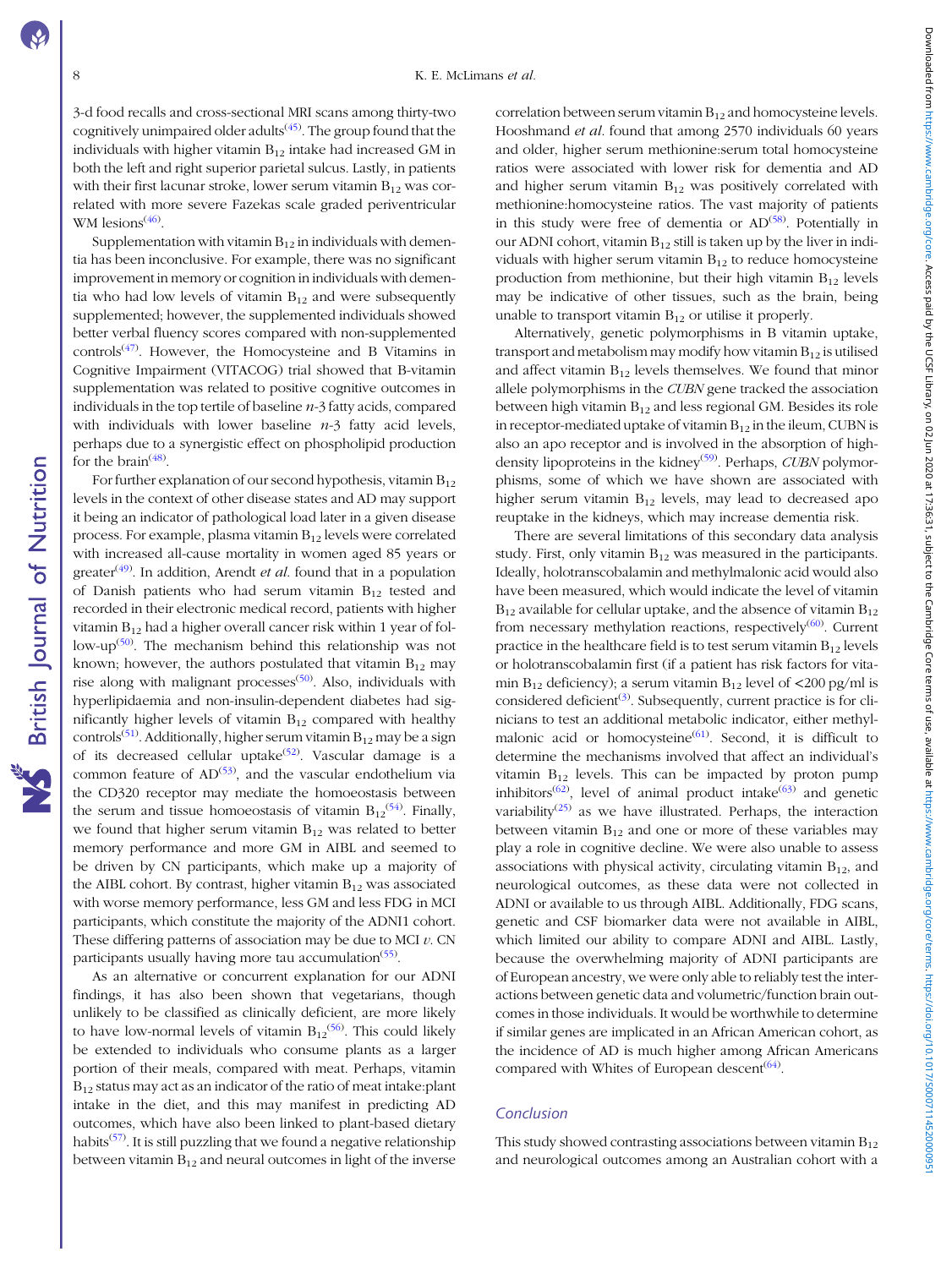**NS** British Journal of Nutrition

3-d food recalls and cross-sectional MRI scans among thirty-two cognitively unimpaired older adults<sup>[\(45](#page-9-0))</sup>. The group found that the individuals with higher vitamin  $B_{12}$  intake had increased GM in both the left and right superior parietal sulcus. Lastly, in patients with their first lacunar stroke, lower serum vitamin  $B_{12}$  was correlated with more severe Fazekas scale graded periventricular WM lesions<sup>[\(46](#page-9-0))</sup>.

Supplementation with vitamin  $B_{12}$  in individuals with dementia has been inconclusive. For example, there was no significant improvement in memory or cognition in individuals with dementia who had low levels of vitamin  $B_{12}$  and were subsequently supplemented; however, the supplemented individuals showed better verbal fluency scores compared with non-supplemented controls[\(47](#page-9-0)) . However, the Homocysteine and B Vitamins in Cognitive Impairment (VITACOG) trial showed that B-vitamin supplementation was related to positive cognitive outcomes in individuals in the top tertile of baseline  $n-3$  fatty acids, compared with individuals with lower baseline  $n-3$  fatty acid levels, perhaps due to a synergistic effect on phospholipid production for the brain<sup> $(48)$ </sup>.

For further explanation of our second hypothesis, vitamin  $B_{12}$ levels in the context of other disease states and AD may support it being an indicator of pathological load later in a given disease process. For example, plasma vitamin  $B_{12}$  levels were correlated with increased all-cause mortality in women aged 85 years or greater<sup>[\(49\)](#page-9-0)</sup>. In addition, Arendt *et al*. found that in a population of Danish patients who had serum vitamin  $B_{12}$  tested and recorded in their electronic medical record, patients with higher vitamin  $B_{12}$  had a higher overall cancer risk within 1 year of fol-low-up<sup>[\(50](#page-9-0))</sup>. The mechanism behind this relationship was not known; however, the authors postulated that vitamin  $B_{12}$  may rise along with malignant processes<sup>[\(50\)](#page-9-0)</sup>. Also, individuals with hyperlipidaemia and non-insulin-dependent diabetes had significantly higher levels of vitamin  $B_{12}$  compared with healthy controls<sup>[\(51](#page-9-0))</sup>. Additionally, higher serum vitamin  $B_{12}$  may be a sign of its decreased cellular uptake $(52)$  $(52)$ . Vascular damage is a common feature of  $AD^{(53)}$  $AD^{(53)}$  $AD^{(53)}$ , and the vascular endothelium via the CD320 receptor may mediate the homoeostasis between the serum and tissue homoeostasis of vitamin  $B_{12}^{(54)}$  $B_{12}^{(54)}$  $B_{12}^{(54)}$ . Finally, we found that higher serum vitamin  $B_{12}$  was related to better memory performance and more GM in AIBL and seemed to be driven by CN participants, which make up a majority of the AIBL cohort. By contrast, higher vitamin  $B_{12}$  was associated with worse memory performance, less GM and less FDG in MCI participants, which constitute the majority of the ADNI1 cohort. These differing patterns of association may be due to MCI  $v$ . CN participants usually having more tau accumulation<sup>[\(55](#page-9-0))</sup>.

As an alternative or concurrent explanation for our ADNI findings, it has also been shown that vegetarians, though unlikely to be classified as clinically deficient, are more likely to have low-normal levels of vitamin  $B_{12}^{(56)}$  $B_{12}^{(56)}$  $B_{12}^{(56)}$ . This could likely be extended to individuals who consume plants as a larger portion of their meals, compared with meat. Perhaps, vitamin B12 status may act as an indicator of the ratio of meat intake:plant intake in the diet, and this may manifest in predicting AD outcomes, which have also been linked to plant-based dietary habits<sup>[\(57\)](#page-10-0)</sup>. It is still puzzling that we found a negative relationship between vitamin  $B_{12}$  and neural outcomes in light of the inverse correlation between serum vitamin  $B_{12}$  and homocysteine levels. Hooshmand et al. found that among 2570 individuals 60 years and older, higher serum methionine:serum total homocysteine ratios were associated with lower risk for dementia and AD and higher serum vitamin  $B_{12}$  was positively correlated with methionine:homocysteine ratios. The vast majority of patients in this study were free of dementia or  $AD^{(58)}$  $AD^{(58)}$  $AD^{(58)}$ . Potentially in our ADNI cohort, vitamin  $B_{12}$  still is taken up by the liver in individuals with higher serum vitamin  $B_{12}$  to reduce homocysteine production from methionine, but their high vitamin  $B_{12}$  levels may be indicative of other tissues, such as the brain, being unable to transport vitamin  $B_{12}$  or utilise it properly.

Alternatively, genetic polymorphisms in B vitamin uptake, transport and metabolism may modify how vitamin  $B_{12}$  is utilised and affect vitamin  $B_{12}$  levels themselves. We found that minor allele polymorphisms in the CUBN gene tracked the association between high vitamin  $B_{12}$  and less regional GM. Besides its role in receptor-mediated uptake of vitamin  $B_{12}$  in the ileum, CUBN is also an apo receptor and is involved in the absorption of high-density lipoproteins in the kidney<sup>([59\)](#page-10-0)</sup>. Perhaps, *CUBN* polymorphisms, some of which we have shown are associated with higher serum vitamin  $B_{12}$  levels, may lead to decreased apo reuptake in the kidneys, which may increase dementia risk.

There are several limitations of this secondary data analysis study. First, only vitamin  $B_{12}$  was measured in the participants. Ideally, holotranscobalamin and methylmalonic acid would also have been measured, which would indicate the level of vitamin  $B_{12}$  available for cellular uptake, and the absence of vitamin  $B_{12}$ from necessary methylation reactions, respectively<sup>[\(60](#page-10-0))</sup>. Current practice in the healthcare field is to test serum vitamin  $B_{12}$  levels or holotranscobalamin first (if a patient has risk factors for vitamin  $B_{12}$  deficiency); a serum vitamin  $B_{12}$  level of <200 pg/ml is considered deficient<sup>[\(3](#page-8-0))</sup>. Subsequently, current practice is for clinicians to test an additional metabolic indicator, either methyl-malonic acid or homocysteine<sup>[\(61\)](#page-10-0)</sup>. Second, it is difficult to determine the mechanisms involved that affect an individual's vitamin  $B_{12}$  levels. This can be impacted by proton pump inhibitors<sup>([62](#page-10-0))</sup>, level of animal product intake<sup>[\(63\)](#page-10-0)</sup> and genetic variability<sup>[\(25\)](#page-9-0)</sup> as we have illustrated. Perhaps, the interaction between vitamin  $B_{12}$  and one or more of these variables may play a role in cognitive decline. We were also unable to assess associations with physical activity, circulating vitamin  $B_{12}$ , and neurological outcomes, as these data were not collected in ADNI or available to us through AIBL. Additionally, FDG scans, genetic and CSF biomarker data were not available in AIBL, which limited our ability to compare ADNI and AIBL. Lastly, because the overwhelming majority of ADNI participants are of European ancestry, we were only able to reliably test the interactions between genetic data and volumetric/function brain outcomes in those individuals. It would be worthwhile to determine if similar genes are implicated in an African American cohort, as the incidence of AD is much higher among African Americans compared with Whites of European descent<sup>[\(64](#page-10-0))</sup>.

#### **Conclusion**

This study showed contrasting associations between vitamin  $B_{12}$ and neurological outcomes among an Australian cohort with a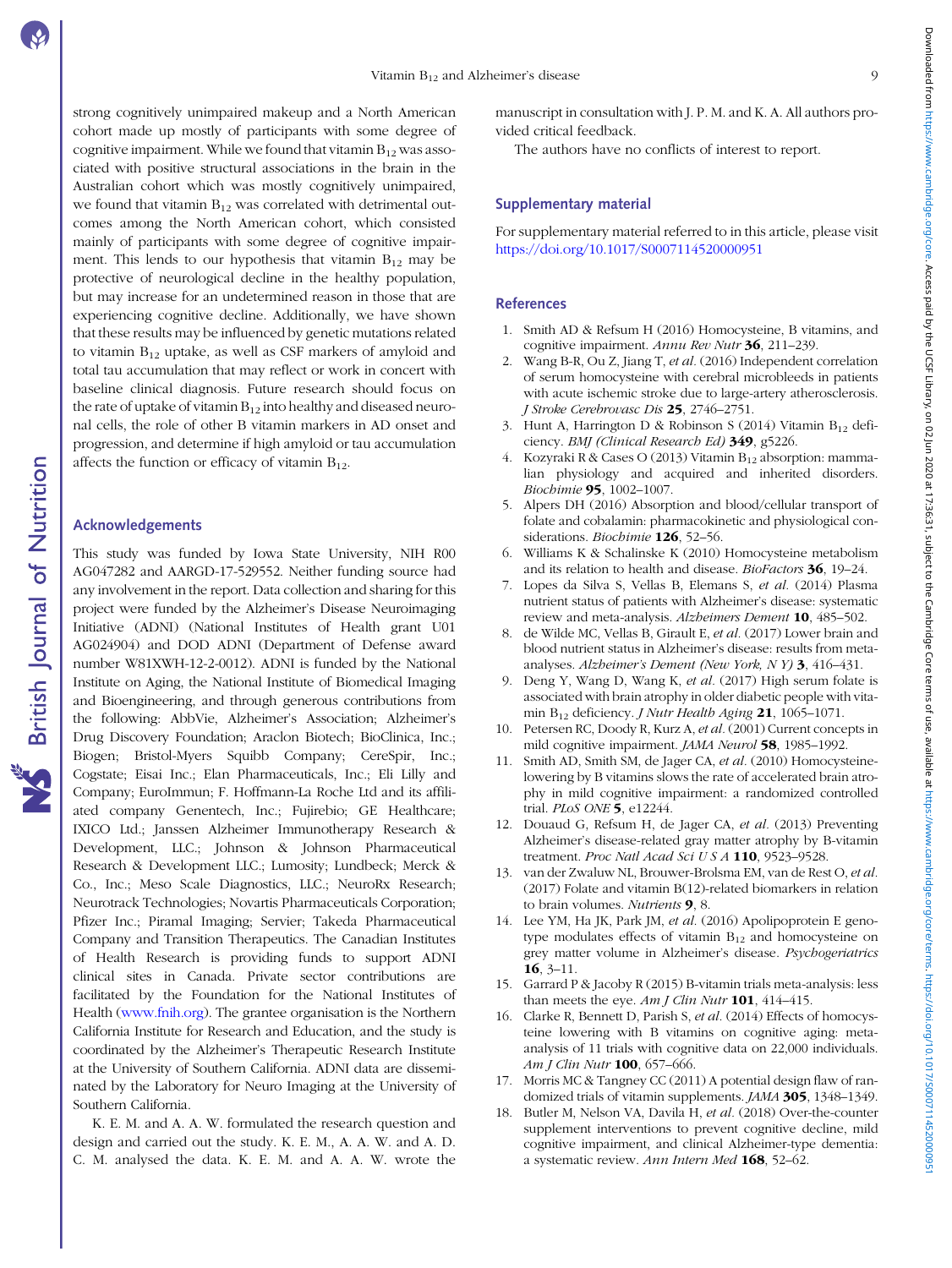<span id="page-8-0"></span>strong cognitively unimpaired makeup and a North American cohort made up mostly of participants with some degree of cognitive impairment. While we found that vitamin  $B_{12}$  was associated with positive structural associations in the brain in the Australian cohort which was mostly cognitively unimpaired, we found that vitamin  $B_{12}$  was correlated with detrimental outcomes among the North American cohort, which consisted mainly of participants with some degree of cognitive impairment. This lends to our hypothesis that vitamin  $B_{12}$  may be protective of neurological decline in the healthy population, but may increase for an undetermined reason in those that are experiencing cognitive decline. Additionally, we have shown that these results may be influenced by genetic mutations related to vitamin  $B_{12}$  uptake, as well as CSF markers of amyloid and total tau accumulation that may reflect or work in concert with baseline clinical diagnosis. Future research should focus on the rate of uptake of vitamin  $B_{12}$  into healthy and diseased neuronal cells, the role of other B vitamin markers in AD onset and progression, and determine if high amyloid or tau accumulation affects the function or efficacy of vitamin  $B_{12}$ .

# Acknowledgements

This study was funded by Iowa State University, NIH R00 AG047282 and AARGD-17-529552. Neither funding source had any involvement in the report. Data collection and sharing for this project were funded by the Alzheimer's Disease Neuroimaging Initiative (ADNI) (National Institutes of Health grant U01 AG024904) and DOD ADNI (Department of Defense award number W81XWH-12-2-0012). ADNI is funded by the National Institute on Aging, the National Institute of Biomedical Imaging and Bioengineering, and through generous contributions from the following: AbbVie, Alzheimer's Association; Alzheimer's Drug Discovery Foundation; Araclon Biotech; BioClinica, Inc.; Biogen; Bristol-Myers Squibb Company; CereSpir, Inc.; Cogstate; Eisai Inc.; Elan Pharmaceuticals, Inc.; Eli Lilly and Company; EuroImmun; F. Hoffmann-La Roche Ltd and its affiliated company Genentech, Inc.; Fujirebio; GE Healthcare; IXICO Ltd.; Janssen Alzheimer Immunotherapy Research & Development, LLC.; Johnson & Johnson Pharmaceutical Research & Development LLC.; Lumosity; Lundbeck; Merck & Co., Inc.; Meso Scale Diagnostics, LLC.; NeuroRx Research; Neurotrack Technologies; Novartis Pharmaceuticals Corporation; Pfizer Inc.; Piramal Imaging; Servier; Takeda Pharmaceutical Company and Transition Therapeutics. The Canadian Institutes of Health Research is providing funds to support ADNI clinical sites in Canada. Private sector contributions are facilitated by the Foundation for the National Institutes of Health ([www.fnih.org](http://www.fnih.org)). The grantee organisation is the Northern California Institute for Research and Education, and the study is coordinated by the Alzheimer's Therapeutic Research Institute at the University of Southern California. ADNI data are disseminated by the Laboratory for Neuro Imaging at the University of Southern California.

K. E. M. and A. A. W. formulated the research question and design and carried out the study. K. E. M., A. A. W. and A. D. C. M. analysed the data. K. E. M. and A. A. W. wrote the manuscript in consultation with J. P. M. and K. A. All authors provided critical feedback.

The authors have no conflicts of interest to report.

# Supplementary material

For supplementary material referred to in this article, please visit <https://doi.org/10.1017/S0007114520000951>

#### **References**

- 1. Smith AD & Refsum H (2016) Homocysteine, B vitamins, and cognitive impairment. Annu Rev Nutr 36, 211-239.
- 2. Wang B-R, Ou Z, Jiang T, et al. (2016) Independent correlation of serum homocysteine with cerebral microbleeds in patients with acute ischemic stroke due to large-artery atherosclerosis. J Stroke Cerebrovasc Dis 25, 2746–2751.
- 3. Hunt A, Harrington D & Robinson S (2014) Vitamin  $B_{12}$  deficiency. BMJ (Clinical Research Ed) 349, g5226.
- 4. Kozyraki R & Cases O (2013) Vitamin B<sub>12</sub> absorption: mammalian physiology and acquired and inherited disorders. Biochimie 95, 1002–1007.
- 5. Alpers DH (2016) Absorption and blood/cellular transport of folate and cobalamin: pharmacokinetic and physiological considerations. Biochimie 126, 52-56.
- 6. Williams K & Schalinske K (2010) Homocysteine metabolism and its relation to health and disease. BioFactors 36, 19–24.
- 7. Lopes da Silva S, Vellas B, Elemans S, et al. (2014) Plasma nutrient status of patients with Alzheimer's disease: systematic review and meta-analysis. Alzheimers Dement 10, 485–502.
- 8. de Wilde MC, Vellas B, Girault E, et al. (2017) Lower brain and blood nutrient status in Alzheimer's disease: results from metaanalyses. Alzheimer's Dement (New York, N Y) 3, 416–431.
- 9. Deng Y, Wang D, Wang K, et al. (2017) High serum folate is associated with brain atrophy in older diabetic people with vitamin  $B_{12}$  deficiency. *J Nutr Health Aging* 21, 1065–1071.
- 10. Petersen RC, Doody R, Kurz A, et al. (2001) Current concepts in mild cognitive impairment. JAMA Neurol 58, 1985-1992.
- 11. Smith AD, Smith SM, de Jager CA, et al. (2010) Homocysteinelowering by B vitamins slows the rate of accelerated brain atrophy in mild cognitive impairment: a randomized controlled trial. PLoS ONE 5, e12244.
- 12. Douaud G, Refsum H, de Jager CA, et al. (2013) Preventing Alzheimer's disease-related gray matter atrophy by B-vitamin treatment. Proc Natl Acad Sci U S A 110, 9523-9528.
- 13. van der Zwaluw NL, Brouwer-Brolsma EM, van de Rest O, et al. (2017) Folate and vitamin B(12)-related biomarkers in relation to brain volumes. Nutrients 9, 8.
- 14. Lee YM, Ha JK, Park JM, et al. (2016) Apolipoprotein E genotype modulates effects of vitamin  $B_{12}$  and homocysteine on grey matter volume in Alzheimer's disease. Psychogeriatrics  $16, 3-11.$
- 15. Garrard P & Jacoby R (2015) B-vitamin trials meta-analysis: less than meets the eye.  $Am J Clin Nutr$  **101**, 414–415.
- 16. Clarke R, Bennett D, Parish S, et al. (2014) Effects of homocysteine lowering with B vitamins on cognitive aging: metaanalysis of 11 trials with cognitive data on 22,000 individuals. Am J Clin Nutr 100, 657-666.
- 17. Morris MC & Tangney CC (2011) A potential design flaw of randomized trials of vitamin supplements. JAMA 305, 1348–1349.
- 18. Butler M, Nelson VA, Davila H, et al. (2018) Over-the-counter supplement interventions to prevent cognitive decline, mild cognitive impairment, and clinical Alzheimer-type dementia: a systematic review. Ann Intern Med 168, 52–62.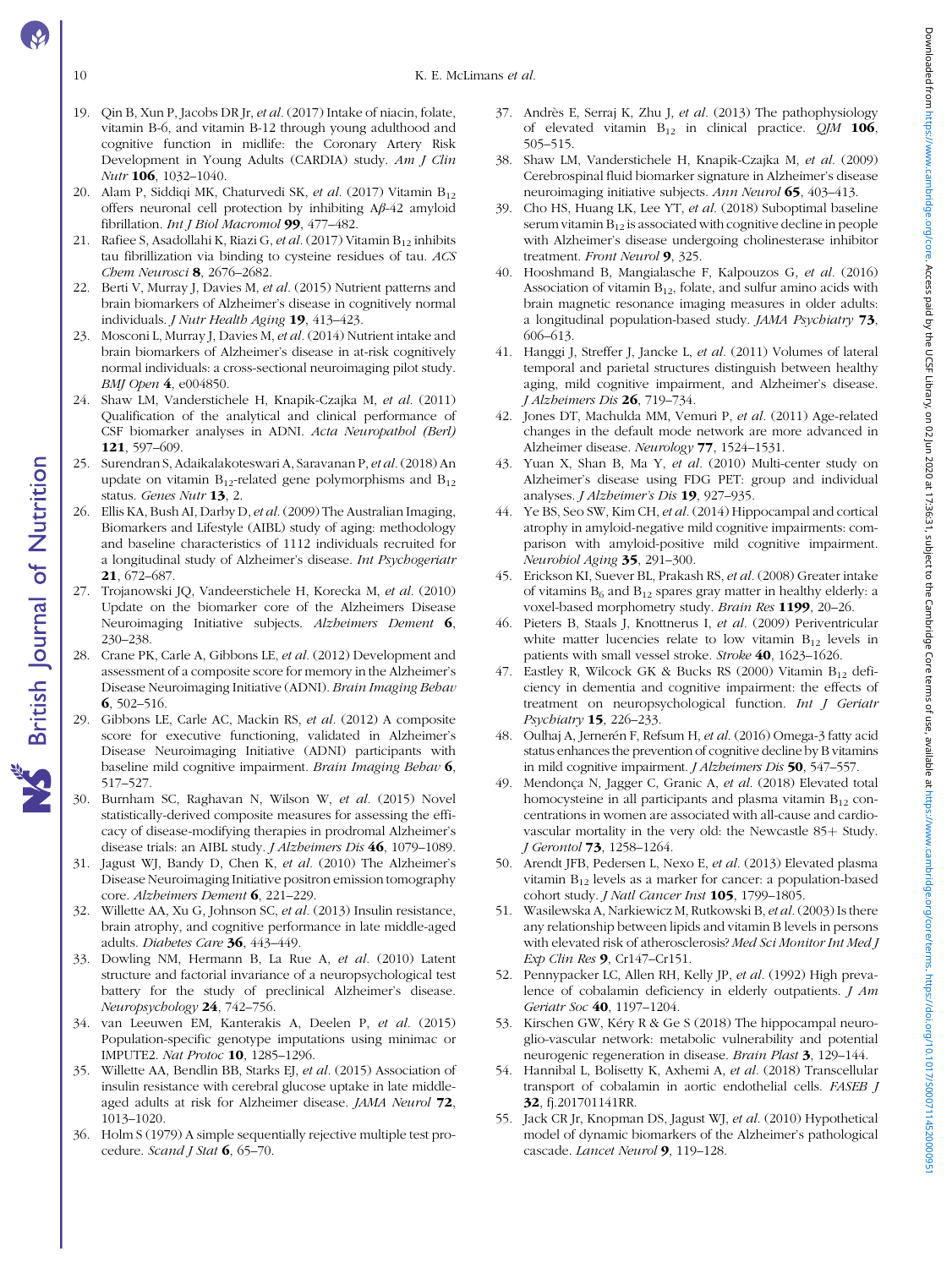- 10 K. E. McLimans *et al.*
- 19. Qin B, Xun P, Jacobs DR Jr, et al. (2017) Intake of niacin, folate, vitamin B-6, and vitamin B-12 through young adulthood and cognitive function in midlife: the Coronary Artery Risk Development in Young Adults (CARDIA) study. Am J Clin Nutr 106, 1032–1040.
- 20. Alam P, Siddiqi MK, Chaturvedi SK, et al. (2017) Vitamin  $B_{12}$ offers neuronal cell protection by inhibiting Aβ-42 amyloid fibrillation. Int J Biol Macromol 99, 477-482.
- 21. Rafiee S, Asadollahi K, Riazi G, et al. (2017) Vitamin  $B_{12}$  inhibits tau fibrillization via binding to cysteine residues of tau. ACS Chem Neurosci 8, 2676-2682.
- 22. Berti V, Murray J, Davies M, et al. (2015) Nutrient patterns and brain biomarkers of Alzheimer's disease in cognitively normal individuals. *J Nutr Health Aging* 19, 413-423.
- 23. Mosconi L, Murray J, Davies M, et al. (2014) Nutrient intake and brain biomarkers of Alzheimer's disease in at-risk cognitively normal individuals: a cross-sectional neuroimaging pilot study. BMJ Open 4, e004850.
- 24. Shaw LM, Vanderstichele H, Knapik-Czajka M, et al. (2011) Qualification of the analytical and clinical performance of CSF biomarker analyses in ADNI. Acta Neuropathol (Berl) 121, 597–609.
- 25. Surendran S, Adaikalakoteswari A, Saravanan P, et al.(2018) An update on vitamin  $B_{12}$ -related gene polymorphisms and  $B_{12}$ status. Genes Nutr 13, 2.
- 26. Ellis KA, Bush AI, Darby D, et al. (2009) The Australian Imaging, Biomarkers and Lifestyle (AIBL) study of aging: methodology and baseline characteristics of 1112 individuals recruited for a longitudinal study of Alzheimer's disease. Int Psychogeriatr 21, 672–687.
- 27. Trojanowski JQ, Vandeerstichele H, Korecka M, et al. (2010) Update on the biomarker core of the Alzheimers Disease Neuroimaging Initiative subjects. Alzheimers Dement 6, 230–238.
- 28. Crane PK, Carle A, Gibbons LE, et al. (2012) Development and assessment of a composite score for memory in the Alzheimer's Disease Neuroimaging Initiative (ADNI). Brain Imaging Behav 6,  $502 - 516$ .
- 29. Gibbons LE, Carle AC, Mackin RS, et al. (2012) A composite score for executive functioning, validated in Alzheimer's Disease Neuroimaging Initiative (ADNI) participants with baseline mild cognitive impairment. Brain Imaging Behav 6, 517–527.
- 30. Burnham SC, Raghavan N, Wilson W, et al. (2015) Novel statistically-derived composite measures for assessing the efficacy of disease-modifying therapies in prodromal Alzheimer's disease trials: an AIBL study. J Alzheimers Dis 46, 1079–1089.
- 31. Jagust WJ, Bandy D, Chen K, et al. (2010) The Alzheimer's Disease Neuroimaging Initiative positron emission tomography core. Alzheimers Dement 6, 221-229.
- 32. Willette AA, Xu G, Johnson SC, et al. (2013) Insulin resistance, brain atrophy, and cognitive performance in late middle-aged adults. Diabetes Care 36, 443–449.
- 33. Dowling NM, Hermann B, La Rue A, et al. (2010) Latent structure and factorial invariance of a neuropsychological test battery for the study of preclinical Alzheimer's disease. Neuropsychology 24, 742–756.
- 34. van Leeuwen EM, Kanterakis A, Deelen P, et al. (2015) Population-specific genotype imputations using minimac or IMPUTE2. Nat Protoc 10, 1285–1296.
- 35. Willette AA, Bendlin BB, Starks EJ, et al. (2015) Association of insulin resistance with cerebral glucose uptake in late middleaged adults at risk for Alzheimer disease. JAMA Neurol 72, 1013–1020.
- 36. Holm S (1979) A simple sequentially rejective multiple test procedure. Scand J Stat 6, 65-70.
- 37. Andrès E, Serraj K, Zhu J, et al. (2013) The pathophysiology of elevated vitamin  $B_{12}$  in clinical practice. QJM 106, 505–515.
- 38. Shaw LM, Vanderstichele H, Knapik-Czajka M, et al. (2009) Cerebrospinal fluid biomarker signature in Alzheimer's disease neuroimaging initiative subjects. Ann Neurol 65, 403-413.
- 39. Cho HS, Huang LK, Lee YT, et al. (2018) Suboptimal baseline serum vitamin  $B_{12}$  is associated with cognitive decline in people with Alzheimer's disease undergoing cholinesterase inhibitor treatment. Front Neurol 9, 325.
- 40. Hooshmand B, Mangialasche F, Kalpouzos G, et al. (2016) Association of vitamin  $B_{12}$ , folate, and sulfur amino acids with brain magnetic resonance imaging measures in older adults: a longitudinal population-based study. JAMA Psychiatry 73, 606–613.
- 41. Hanggi J, Streffer J, Jancke L, et al. (2011) Volumes of lateral temporal and parietal structures distinguish between healthy aging, mild cognitive impairment, and Alzheimer's disease. J Alzheimers Dis 26, 719–734.
- 42. Jones DT, Machulda MM, Vemuri P, et al. (2011) Age-related changes in the default mode network are more advanced in Alzheimer disease. Neurology 77, 1524–1531.
- 43. Yuan X, Shan B, Ma Y, et al. (2010) Multi-center study on Alzheimer's disease using FDG PET: group and individual analyses. J Alzheimer's Dis 19, 927–935.
- 44. Ye BS, Seo SW, Kim CH, et al. (2014) Hippocampal and cortical atrophy in amyloid-negative mild cognitive impairments: comparison with amyloid-positive mild cognitive impairment. Neurobiol Aging 35, 291–300.
- 45. Erickson KI, Suever BL, Prakash RS, et al. (2008) Greater intake of vitamins  $B_6$  and  $B_{12}$  spares gray matter in healthy elderly: a voxel-based morphometry study. Brain Res 1199, 20–26.
- 46. Pieters B, Staals J, Knottnerus I, et al. (2009) Periventricular white matter lucencies relate to low vitamin  $B_{12}$  levels in patients with small vessel stroke. Stroke 40, 1623–1626.
- 47. Eastley R, Wilcock GK & Bucks RS (2000) Vitamin  $B_{12}$  deficiency in dementia and cognitive impairment: the effects of treatment on neuropsychological function. Int J Geriatr Psychiatry 15, 226–233.
- 48. Oulhaj A, Jernerén F, Refsum H, et al. (2016) Omega-3 fatty acid status enhances the prevention of cognitive decline by B vitamins in mild cognitive impairment. J Alzheimers Dis 50, 547–557.
- 49. Mendonça N, Jagger C, Granic A, et al. (2018) Elevated total homocysteine in all participants and plasma vitamin  $B_{12}$  concentrations in women are associated with all-cause and cardiovascular mortality in the very old: the Newcastle 85+ Study. J Gerontol 73, 1258–1264.
- 50. Arendt JFB, Pedersen L, Nexo E, et al. (2013) Elevated plasma vitamin  $B_{12}$  levels as a marker for cancer: a population-based cohort study. *J Natl Cancer Inst* 105, 1799-1805.
- 51. Wasilewska A, Narkiewicz M, Rutkowski B, et al. (2003) Is there any relationship between lipids and vitamin B levels in persons with elevated risk of atherosclerosis? Med Sci Monitor Int Med J Exp Clin Res 9, Cr147-Cr151.
- 52. Pennypacker LC, Allen RH, Kelly JP, et al. (1992) High prevalence of cobalamin deficiency in elderly outpatients. *J Am* Geriatr Soc 40, 1197–1204.
- 53. Kirschen GW, Kéry R & Ge S (2018) The hippocampal neuroglio-vascular network: metabolic vulnerability and potential neurogenic regeneration in disease. Brain Plast 3, 129–144.
- 54. Hannibal L, Bolisetty K, Axhemi A, et al. (2018) Transcellular transport of cobalamin in aortic endothelial cells. FASEB J 32, fj.201701141RR.
- 55. Jack CR Jr, Knopman DS, Jagust WJ, et al. (2010) Hypothetical model of dynamic biomarkers of the Alzheimer's pathological cascade. Lancet Neurol 9, 119–128.

<span id="page-9-0"></span>